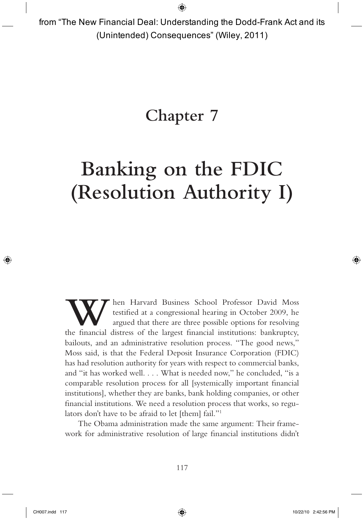from "The New Financial Deal: Understanding the Dodd-Frank Act and its (Unintended) Consequences" (Wiley, 2011)

# Chapter 7

# Banking on the FDIC (Resolution Authority I)

When Harvard Business School Professor David Moss<br>testified at a congressional hearing in October 2009, he<br>argued that there are three possible options for resolving<br>the financial distress of the largest financial institut testified at a congressional hearing in October 2009, he argued that there are three possible options for resolving the financial distress of the largest financial institutions: bankruptcy, bailouts, and an administrative resolution process. "The good news," Moss said, is that the Federal Deposit Insurance Corporation (FDIC) has had resolution authority for years with respect to commercial banks, and "it has worked well.... What is needed now," he concluded, "is a comparable resolution process for all [systemically important financial institutions], whether they are banks, bank holding companies, or other financial institutions. We need a resolution process that works, so regulators don't have to be afraid to let [them] fail."<sup>1</sup>

The Obama administration made the same argument: Their framework for administrative resolution of large financial institutions didn't

⊕

↔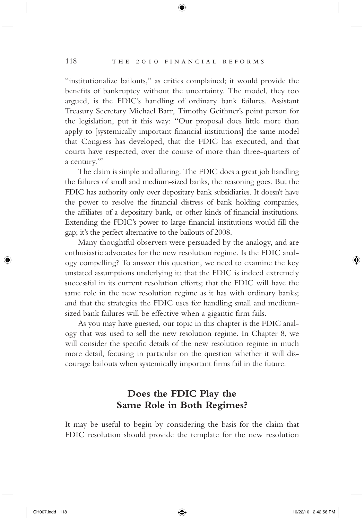#### 118 THE 2010 FINANCIAL REFORMS

"institutionalize bailouts," as critics complained; it would provide the benefits of bankruptcy without the uncertainty. The model, they too argued, is the FDIC's handling of ordinary bank failures. Assistant Treasury Secretary Michael Barr, Timothy Geithner's point person for the legislation, put it this way: " Our proposal does little more than apply to [systemically important financial institutions] the same model that Congress has developed, that the FDIC has executed, and that courts have respected, over the course of more than three - quarters of a century."<sup>2</sup>

⊕

The claim is simple and alluring. The FDIC does a great job handling the failures of small and medium - sized banks, the reasoning goes. But the FDIC has authority only over depositary bank subsidiaries. It doesn't have the power to resolve the financial distress of bank holding companies, the affiliates of a depositary bank, or other kinds of financial institutions. Extending the FDIC's power to large financial institutions would fill the gap; it's the perfect alternative to the bailouts of 2008.

Many thoughtful observers were persuaded by the analogy, and are enthusiastic advocates for the new resolution regime. Is the FDIC analogy compelling? To answer this question, we need to examine the key unstated assumptions underlying it: that the FDIC is indeed extremely successful in its current resolution efforts; that the FDIC will have the same role in the new resolution regime as it has with ordinary banks; and that the strategies the FDIC uses for handling small and mediumsized bank failures will be effective when a gigantic firm fails.

As you may have guessed, our topic in this chapter is the FDIC analogy that was used to sell the new resolution regime. In Chapter 8, we will consider the specific details of the new resolution regime in much more detail, focusing in particular on the question whether it will discourage bailouts when systemically important firms fail in the future.

# Does the FDIC Play the Same Role in Both Regimes?

It may be useful to begin by considering the basis for the claim that FDIC resolution should provide the template for the new resolution

⇔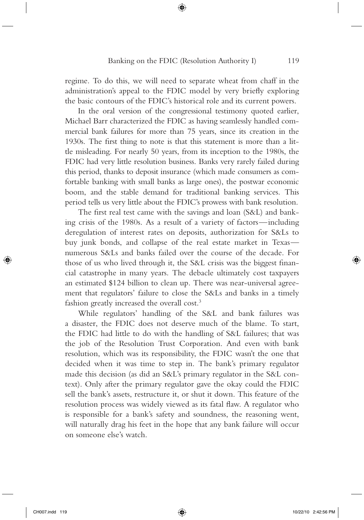regime. To do this, we will need to separate wheat from chaff in the administration's appeal to the FDIC model by very briefly exploring the basic contours of the FDIC's historical role and its current powers.

⊕

In the oral version of the congressional testimony quoted earlier, Michael Barr characterized the FDIC as having seamlessly handled commercial bank failures for more than 75 years, since its creation in the 1930s. The first thing to note is that this statement is more than a little misleading. For nearly 50 years, from its inception to the 1980s, the FDIC had very little resolution business. Banks very rarely failed during this period, thanks to deposit insurance (which made consumers as comfortable banking with small banks as large ones), the postwar economic boom, and the stable demand for traditional banking services. This period tells us very little about the FDIC's prowess with bank resolution.

The first real test came with the savings and loan (S&L) and banking crisis of the 1980s. As a result of a variety of factors — including deregulation of interest rates on deposits, authorization for S&Ls to buy junk bonds, and collapse of the real estate market in Texas numerous S&Ls and banks failed over the course of the decade. For those of us who lived through it, the S&L crisis was the biggest financial catastrophe in many years. The debacle ultimately cost taxpayers an estimated \$124 billion to clean up. There was near-universal agreement that regulators' failure to close the S&Ls and banks in a timely fashion greatly increased the overall cost.<sup>3</sup>

While regulators' handling of the S&L and bank failures was a disaster, the FDIC does not deserve much of the blame. To start, the FDIC had little to do with the handling of S&L failures; that was the job of the Resolution Trust Corporation. And even with bank resolution, which was its responsibility, the FDIC wasn't the one that decided when it was time to step in. The bank's primary regulator made this decision (as did an S&L's primary regulator in the S&L context). Only after the primary regulator gave the okay could the FDIC sell the bank's assets, restructure it, or shut it down. This feature of the resolution process was widely viewed as its fatal flaw. A regulator who is responsible for a bank's safety and soundness, the reasoning went, will naturally drag his feet in the hope that any bank failure will occur on someone else's watch.

⇔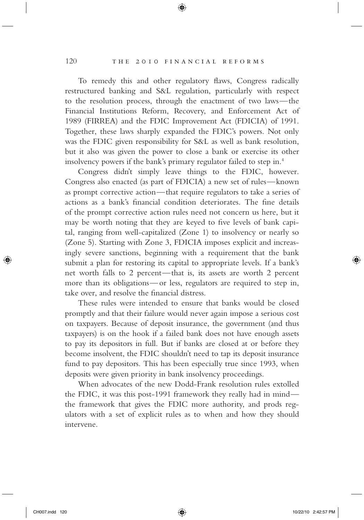#### 120 THE 2010 FINANCIAL REFORMS

To remedy this and other regulatory flaws, Congress radically restructured banking and S&L regulation, particularly with respect to the resolution process, through the enactment of two laws — the Financial Institutions Reform, Recovery, and Enforcement Act of 1989 (FIRREA) and the FDIC Improvement Act (FDICIA) of 1991. Together, these laws sharply expanded the FDIC's powers. Not only was the FDIC given responsibility for S&L as well as bank resolution, but it also was given the power to close a bank or exercise its other insolvency powers if the bank's primary regulator failed to step in.<sup>4</sup>

⊕

Congress didn't simply leave things to the FDIC, however. Congress also enacted (as part of FDICIA) a new set of rules — known as prompt corrective action — that require regulators to take a series of actions as a bank's financial condition deteriorates. The fine details of the prompt corrective action rules need not concern us here, but it may be worth noting that they are keyed to five levels of bank capital, ranging from well-capitalized (Zone 1) to insolvency or nearly so (Zone 5). Starting with Zone 3, FDICIA imposes explicit and increasingly severe sanctions, beginning with a requirement that the bank submit a plan for restoring its capital to appropriate levels. If a bank's net worth falls to 2 percent—that is, its assets are worth 2 percent more than its obligations— or less, regulators are required to step in, take over, and resolve the financial distress.

These rules were intended to ensure that banks would be closed promptly and that their failure would never again impose a serious cost on taxpayers. Because of deposit insurance, the government (and thus taxpayers) is on the hook if a failed bank does not have enough assets to pay its depositors in full. But if banks are closed at or before they become insolvent, the FDIC shouldn't need to tap its deposit insurance fund to pay depositors. This has been especially true since 1993, when deposits were given priority in bank insolvency proceedings.

When advocates of the new Dodd-Frank resolution rules extolled the FDIC, it was this post-1991 framework they really had in mind the framework that gives the FDIC more authority, and prods regulators with a set of explicit rules as to when and how they should intervene.

⇔

 $\leftrightarrow$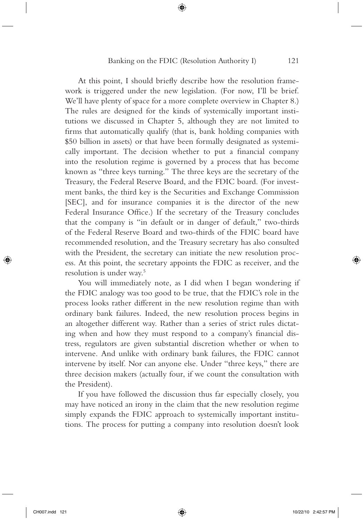⊕

At this point, I should briefly describe how the resolution framework is triggered under the new legislation. (For now, I'll be brief. We'll have plenty of space for a more complete overview in Chapter 8.) The rules are designed for the kinds of systemically important institutions we discussed in Chapter 5, although they are not limited to firms that automatically qualify (that is, bank holding companies with \$50 billion in assets) or that have been formally designated as systemically important. The decision whether to put a financial company into the resolution regime is governed by a process that has become known as " three keys turning. "The three keys are the secretary of the Treasury, the Federal Reserve Board, and the FDIC board. (For investment banks, the third key is the Securities and Exchange Commission [SEC], and for insurance companies it is the director of the new Federal Insurance Office.) If the secretary of the Treasury concludes that the company is "in default or in danger of default," two-thirds of the Federal Reserve Board and two - thirds of the FDIC board have recommended resolution, and the Treasury secretary has also consulted with the President, the secretary can initiate the new resolution process. At this point, the secretary appoints the FDIC as receiver, and the resolution is under way. 5

You will immediately note, as I did when I began wondering if the FDIC analogy was too good to be true, that the FDIC's role in the process looks rather different in the new resolution regime than with ordinary bank failures. Indeed, the new resolution process begins in an altogether different way. Rather than a series of strict rules dictating when and how they must respond to a company's financial distress, regulators are given substantial discretion whether or when to intervene. And unlike with ordinary bank failures, the FDIC cannot intervene by itself. Nor can anyone else. Under "three keys," there are three decision makers (actually four, if we count the consultation with the President).

If you have followed the discussion thus far especially closely, you may have noticed an irony in the claim that the new resolution regime simply expands the FDIC approach to systemically important institutions. The process for putting a company into resolution doesn't look

⇔

CH007.indd 121 10/22/10 2:42:57 PM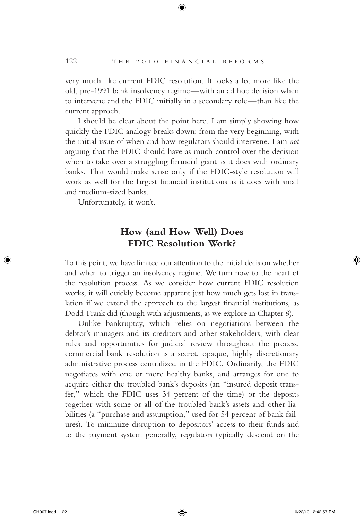very much like current FDIC resolution. It looks a lot more like the old, pre-1991 bank insolvency regime—with an ad hoc decision when to intervene and the FDIC initially in a secondary role—than like the current approch.

⊕

I should be clear about the point here. I am simply showing how quickly the FDIC analogy breaks down: from the very beginning, with the initial issue of when and how regulators should intervene. I am not arguing that the FDIC should have as much control over the decision when to take over a struggling financial giant as it does with ordinary banks. That would make sense only if the FDIC-style resolution will work as well for the largest financial institutions as it does with small and medium-sized banks.

Unfortunately, it won't.

# How (and How Well) Does FDIC Resolution Work?

To this point, we have limited our attention to the initial decision whether and when to trigger an insolvency regime. We turn now to the heart of the resolution process. As we consider how current FDIC resolution works, it will quickly become apparent just how much gets lost in translation if we extend the approach to the largest financial institutions, as Dodd-Frank did (though with adjustments, as we explore in Chapter 8).

Unlike bankruptcy, which relies on negotiations between the debtor's managers and its creditors and other stakeholders, with clear rules and opportunities for judicial review throughout the process, commercial bank resolution is a secret, opaque, highly discretionary administrative process centralized in the FDIC. Ordinarily, the FDIC negotiates with one or more healthy banks, and arranges for one to acquire either the troubled bank's deposits (an "insured deposit transfer," which the FDIC uses 34 percent of the time) or the deposits together with some or all of the troubled bank's assets and other liabilities (a "purchase and assumption," used for 54 percent of bank failures). To minimize disruption to depositors' access to their funds and to the payment system generally, regulators typically descend on the

↔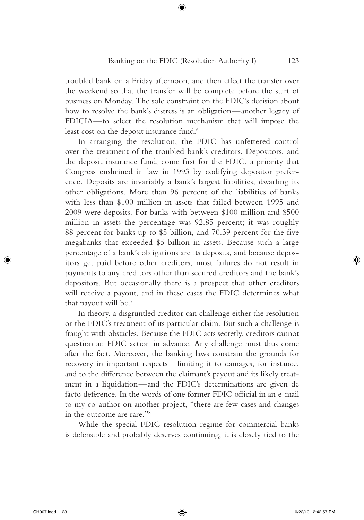troubled bank on a Friday afternoon, and then effect the transfer over the weekend so that the transfer will be complete before the start of business on Monday. The sole constraint on the FDIC's decision about how to resolve the bank's distress is an obligation—another legacy of FDICIA—to select the resolution mechanism that will impose the least cost on the deposit insurance fund.<sup>6</sup>

⊕

In arranging the resolution, the FDIC has unfettered control over the treatment of the troubled bank's creditors. Depositors, and the deposit insurance fund, come first for the FDIC, a priority that Congress enshrined in law in 1993 by codifying depositor preference. Deposits are invariably a bank's largest liabilities, dwarfing its other obligations. More than 96 percent of the liabilities of banks with less than \$100 million in assets that failed between 1995 and  $2009$  were deposits. For banks with between \$100 million and \$500 million in assets the percentage was 92.85 percent; it was roughly 88 percent for banks up to \$5 billion, and 70.39 percent for the five megabanks that exceeded \$5 billion in assets. Because such a large percentage of a bank's obligations are its deposits, and because depositors get paid before other creditors, most failures do not result in payments to any creditors other than secured creditors and the bank's depositors. But occasionally there is a prospect that other creditors will receive a payout, and in these cases the FDIC determines what that payout will be.<sup>7</sup>

In theory, a disgruntled creditor can challenge either the resolution or the FDIC's treatment of its particular claim. But such a challenge is fraught with obstacles. Because the FDIC acts secretly, creditors cannot question an FDIC action in advance. Any challenge must thus come after the fact. Moreover, the banking laws constrain the grounds for recovery in important respects — limiting it to damages, for instance, and to the difference between the claimant's payout and its likely treatment in a liquidation—and the FDIC's determinations are given de facto deference. In the words of one former FDIC official in an e-mail to my co-author on another project, " there are few cases and changes in the outcome are rare."<sup>8</sup>

While the special FDIC resolution regime for commercial banks is defensible and probably deserves continuing, it is closely tied to the

⇔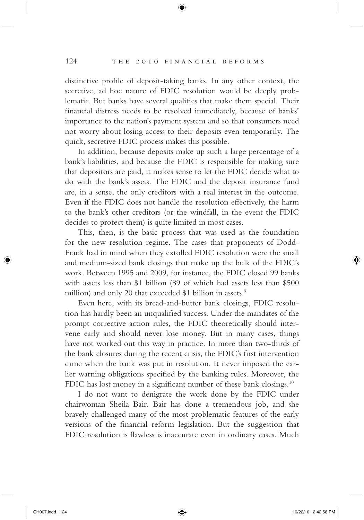#### 124 THE 2010 FINANCIAL REFORMS

distinctive profile of deposit-taking banks. In any other context, the secretive, ad hoc nature of FDIC resolution would be deeply problematic. But banks have several qualities that make them special. Their financial distress needs to be resolved immediately, because of banks' importance to the nation's payment system and so that consumers need not worry about losing access to their deposits even temporarily. The quick, secretive FDIC process makes this possible.

⊕

In addition, because deposits make up such a large percentage of a bank's liabilities, and because the FDIC is responsible for making sure that depositors are paid, it makes sense to let the FDIC decide what to do with the bank's assets. The FDIC and the deposit insurance fund are, in a sense, the only creditors with a real interest in the outcome. Even if the FDIC does not handle the resolution effectively, the harm to the bank's other creditors (or the windfall, in the event the FDIC decides to protect them) is quite limited in most cases.

This, then, is the basic process that was used as the foundation for the new resolution regime. The cases that proponents of Dodd-Frank had in mind when they extolled FDIC resolution were the small and medium-sized bank closings that make up the bulk of the FDIC's work. Between 1995 and 2009, for instance, the FDIC closed 99 banks with assets less than \$1 billion (89 of which had assets less than \$500 million) and only 20 that exceeded \$1 billion in assets.<sup>9</sup>

Even here, with its bread-and-butter bank closings, FDIC resolution has hardly been an unqualified success. Under the mandates of the prompt corrective action rules, the FDIC theoretically should intervene early and should never lose money. But in many cases, things have not worked out this way in practice. In more than two-thirds of the bank closures during the recent crisis, the FDIC's first intervention came when the bank was put in resolution. It never imposed the earlier warning obligations specified by the banking rules. Moreover, the FDIC has lost money in a significant number of these bank closings.<sup>10</sup>

I do not want to denigrate the work done by the FDIC under chairwoman Sheila Bair. Bair has done a tremendous job, and she bravely challenged many of the most problematic features of the early versions of the financial reform legislation. But the suggestion that FDIC resolution is flawless is inaccurate even in ordinary cases. Much

⇔

 $\leftrightarrow$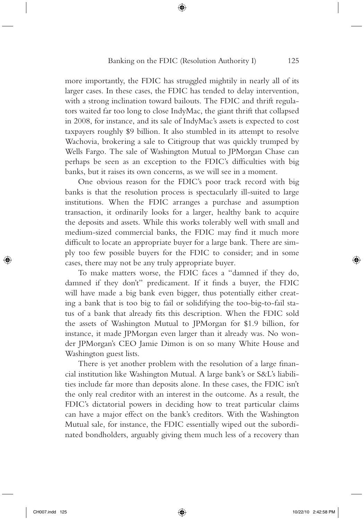more importantly, the FDIC has struggled mightily in nearly all of its larger cases. In these cases, the FDIC has tended to delay intervention, with a strong inclination toward bailouts. The FDIC and thrift regulators waited far too long to close IndyMac, the giant thrift that collapsed in 2008, for instance, and its sale of IndyMac's assets is expected to cost taxpayers roughly \$9 billion. It also stumbled in its attempt to resolve Wachovia, brokering a sale to Citigroup that was quickly trumped by Wells Fargo. The sale of Washington Mutual to JPMorgan Chase can perhaps be seen as an exception to the FDIC's difficulties with big banks, but it raises its own concerns, as we will see in a moment.

⊕

One obvious reason for the FDIC's poor track record with big banks is that the resolution process is spectacularly ill-suited to large institutions. When the FDIC arranges a purchase and assumption transaction, it ordinarily looks for a larger, healthy bank to acquire the deposits and assets. While this works tolerably well with small and medium-sized commercial banks, the FDIC may find it much more difficult to locate an appropriate buyer for a large bank. There are simply too few possible buyers for the FDIC to consider; and in some cases, there may not be any truly appropriate buyer.

To make matters worse, the FDIC faces a " damned if they do, damned if they don't" predicament. If it finds a buyer, the FDIC will have made a big bank even bigger, thus potentially either creating a bank that is too big to fail or solidifying the too-big-to-fail status of a bank that already fits this description. When the FDIC sold the assets of Washington Mutual to JPMorgan for \$1.9 billion, for instance, it made JPMorgan even larger than it already was. No wonder JPMorgan's CEO Jamie Dimon is on so many White House and Washington guest lists.

There is yet another problem with the resolution of a large financial institution like Washington Mutual. A large bank's or S&L's liabilities include far more than deposits alone. In these cases, the FDIC isn't the only real creditor with an interest in the outcome. As a result, the FDIC's dictatorial powers in deciding how to treat particular claims can have a major effect on the bank's creditors. With the Washington Mutual sale, for instance, the FDIC essentially wiped out the subordinated bondholders, arguably giving them much less of a recovery than

⊕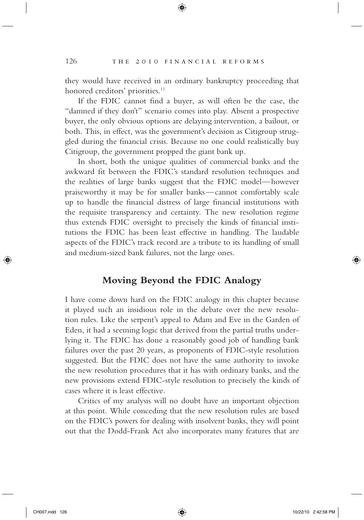they would have received in an ordinary bankruptcy proceeding that honored creditors' priorities.<sup>11</sup>

⊕

If the FDIC cannot find a buyer, as will often be the case, the " damned if they don't" scenario comes into play. Absent a prospective buyer, the only obvious options are delaying intervention, a bailout, or both. This, in effect, was the government's decision as Citigroup struggled during the financial crisis. Because no one could realistically buy Citigroup, the government propped the giant bank up.

In short, both the unique qualities of commercial banks and the awkward fit between the FDIC's standard resolution techniques and the realities of large banks suggest that the FDIC model — however praiseworthy it may be for smaller banks — cannot comfortably scale up to handle the financial distress of large financial institutions with the requisite transparency and certainty. The new resolution regime thus extends FDIC oversight to precisely the kinds of financial institutions the FDIC has been least effective in handling. The laudable aspects of the FDIC's track record are a tribute to its handling of small and medium-sized bank failures, not the large ones.

### Moving Beyond the FDICAnalogy

I have come down hard on the FDIC analogy in this chapter because it played such an insidious role in the debate over the new resolution rules. Like the serpent's appeal to Adam and Eve in the Garden of Eden, it had a seeming logic that derived from the partial truths underlying it. The FDIC has done a reasonably good job of handling bank failures over the past 20 years, as proponents of FDIC-style resolution suggested. But the FDIC does not have the same authority to invoke the new resolution procedures that it has with ordinary banks, and the new provisions extend FDIC-style resolution to precisely the kinds of cases where it is least effective.

Critics of my analysis will no doubt have an important objection at this point. While conceding that the new resolution rules are based on the FDIC's powers for dealing with insolvent banks, they will point out that the Dodd-Frank Act also incorporates many features that are

⊕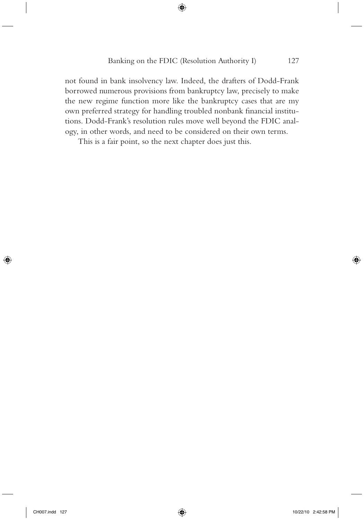not found in bank insolvency law. Indeed, the drafters of Dodd - Frank borrowed numerous provisions from bankruptcy law, precisely to make the new regime function more like the bankruptcy cases that are my own preferred strategy for handling troubled nonbank financial institutions. Dodd-Frank's resolution rules move well beyond the FDIC analogy, in other words, and need to be considered on their own terms.

 $\bigoplus$ 

This is a fair point, so the next chapter does just this.

⊕